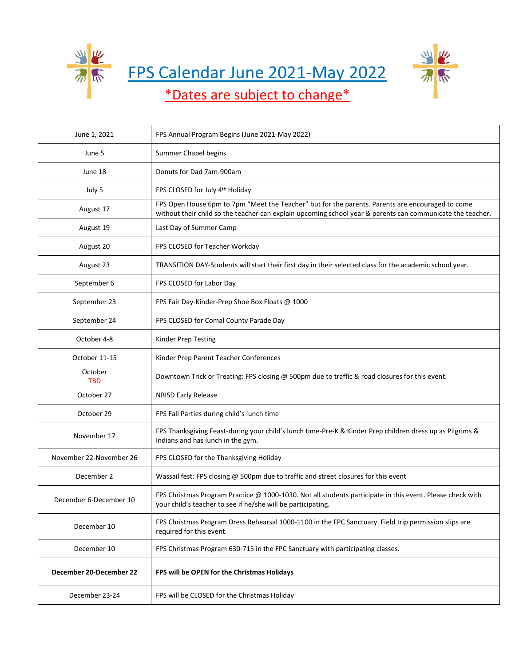

FPS Calendar June 2021-May 2022



## \*Dates are subject to change\*

| June 1, 2021            | FPS Annual Program Begins (June 2021-May 2022)                                                                                                                                                                 |
|-------------------------|----------------------------------------------------------------------------------------------------------------------------------------------------------------------------------------------------------------|
| June 5                  | Summer Chapel begins                                                                                                                                                                                           |
| June 18                 | Donuts for Dad 7am-900am                                                                                                                                                                                       |
| July 5                  | FPS CLOSED for July 4th Holiday                                                                                                                                                                                |
| August 17               | FPS Open House 6pm to 7pm "Meet the Teacher" but for the parents. Parents are encouraged to come<br>without their child so the teacher can explain upcoming school year & parents can communicate the teacher. |
| August 19               | Last Day of Summer Camp                                                                                                                                                                                        |
| August 20               | FPS CLOSED for Teacher Workday                                                                                                                                                                                 |
| August 23               | TRANSITION DAY-Students will start their first day in their selected class for the academic school year.                                                                                                       |
| September 6             | FPS CLOSED for Labor Day                                                                                                                                                                                       |
| September 23            | FPS Fair Day-Kinder-Prep Shoe Box Floats @ 1000                                                                                                                                                                |
| September 24            | FPS CLOSED for Comal County Parade Day                                                                                                                                                                         |
| October 4-8             | Kinder Prep Testing                                                                                                                                                                                            |
| October 11-15           | Kinder Prep Parent Teacher Conferences                                                                                                                                                                         |
| October<br><b>TBD</b>   | Downtown Trick or Treating: FPS closing @ 500pm due to traffic & road closures for this event.                                                                                                                 |
| October 27              | <b>NBISD Early Release</b>                                                                                                                                                                                     |
| October 29              | FPS Fall Parties during child's lunch time                                                                                                                                                                     |
| November 17             | FPS Thanksgiving Feast-during your child's lunch time-Pre-K & Kinder Prep children dress up as Pilgrims &<br>Indians and has lunch in the gym.                                                                 |
| November 22-November 26 | FPS CLOSED for the Thanksgiving Holiday                                                                                                                                                                        |
| December 2              | Wassail fest: FPS closing @ 500pm due to traffic and street closures for this event                                                                                                                            |
| December 6-December 10  | FPS Christmas Program Practice @ 1000-1030. Not all students participate in this event. Please check with<br>your child's teacher to see if he/she will be participating.                                      |
| December 10             | FPS Christmas Program Dress Rehearsal 1000-1100 in the FPC Sanctuary. Field trip permission slips are<br>required for this event.                                                                              |
| December 10             | FPS Christmas Program 630-715 in the FPC Sanctuary with participating classes.                                                                                                                                 |
| December 20-December 22 | FPS will be OPEN for the Christmas Holidays                                                                                                                                                                    |
| December 23-24          | FPS will be CLOSED for the Christmas Holiday                                                                                                                                                                   |